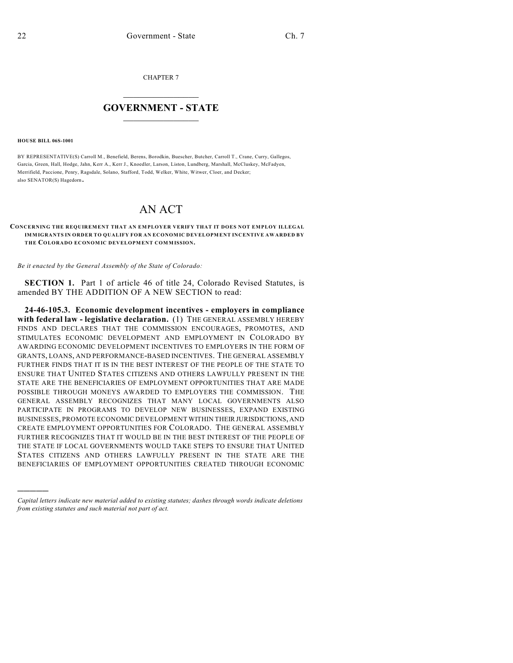CHAPTER 7

## $\mathcal{L}_\text{max}$  . The set of the set of the set of the set of the set of the set of the set of the set of the set of the set of the set of the set of the set of the set of the set of the set of the set of the set of the set **GOVERNMENT - STATE**  $\_$   $\_$   $\_$   $\_$   $\_$   $\_$   $\_$   $\_$

**HOUSE BILL 06S-1001**

)))))

BY REPRESENTATIVE(S) Carroll M., Benefield, Berens, Borodkin, Buescher, Butcher, Carroll T., Crane, Curry, Gallegos, Garcia, Green, Hall, Hodge, Jahn, Kerr A., Kerr J., Knoedler, Larson, Liston, Lundberg, Marshall, McCluskey, McFadyen, Merrifield, Paccione, Penry, Ragsdale, Solano, Stafford, Todd, Welker, White, Witwer, Cloer, and Decker; also SENATOR(S) Hagedorn.

## AN ACT

## **CONCERNING THE REQUIREMENT THAT AN EM PLOYER VERIFY THAT IT DOES NOT EMPLOY ILLEGAL IMMIGRANTS IN ORDER TO QUALIFY FOR AN ECONOMIC DEVELOPMENT INCENTIVE AWARDED BY THE COLORADO ECONOMIC DEVELOPMENT COMMISSION.**

*Be it enacted by the General Assembly of the State of Colorado:*

**SECTION 1.** Part 1 of article 46 of title 24, Colorado Revised Statutes, is amended BY THE ADDITION OF A NEW SECTION to read:

**24-46-105.3. Economic development incentives - employers in compliance with federal law - legislative declaration.** (1) THE GENERAL ASSEMBLY HEREBY FINDS AND DECLARES THAT THE COMMISSION ENCOURAGES, PROMOTES, AND STIMULATES ECONOMIC DEVELOPMENT AND EMPLOYMENT IN COLORADO BY AWARDING ECONOMIC DEVELOPMENT INCENTIVES TO EMPLOYERS IN THE FORM OF GRANTS, LOANS, AND PERFORMANCE-BASED INCENTIVES. THE GENERAL ASSEMBLY FURTHER FINDS THAT IT IS IN THE BEST INTEREST OF THE PEOPLE OF THE STATE TO ENSURE THAT UNITED STATES CITIZENS AND OTHERS LAWFULLY PRESENT IN THE STATE ARE THE BENEFICIARIES OF EMPLOYMENT OPPORTUNITIES THAT ARE MADE POSSIBLE THROUGH MONEYS AWARDED TO EMPLOYERS THE COMMISSION. THE GENERAL ASSEMBLY RECOGNIZES THAT MANY LOCAL GOVERNMENTS ALSO PARTICIPATE IN PROGRAMS TO DEVELOP NEW BUSINESSES, EXPAND EXISTING BUSINESSES, PROMOTE ECONOMIC DEVELOPMENT WITHIN THEIR JURISDICTIONS, AND CREATE EMPLOYMENT OPPORTUNITIES FOR COLORADO. THE GENERAL ASSEMBLY FURTHER RECOGNIZES THAT IT WOULD BE IN THE BEST INTEREST OF THE PEOPLE OF THE STATE IF LOCAL GOVERNMENTS WOULD TAKE STEPS TO ENSURE THAT UNITED STATES CITIZENS AND OTHERS LAWFULLY PRESENT IN THE STATE ARE THE BENEFICIARIES OF EMPLOYMENT OPPORTUNITIES CREATED THROUGH ECONOMIC

*Capital letters indicate new material added to existing statutes; dashes through words indicate deletions from existing statutes and such material not part of act.*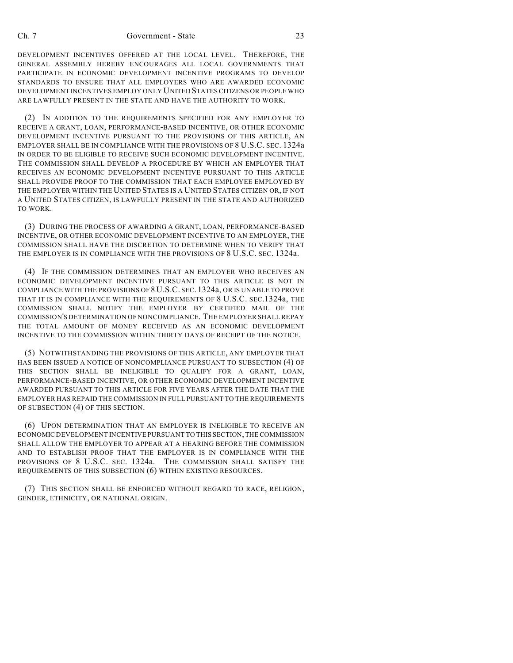## Ch. 7 Government - State 23

DEVELOPMENT INCENTIVES OFFERED AT THE LOCAL LEVEL. THEREFORE, THE GENERAL ASSEMBLY HEREBY ENCOURAGES ALL LOCAL GOVERNMENTS THAT PARTICIPATE IN ECONOMIC DEVELOPMENT INCENTIVE PROGRAMS TO DEVELOP STANDARDS TO ENSURE THAT ALL EMPLOYERS WHO ARE AWARDED ECONOMIC DEVELOPMENT INCENTIVES EMPLOY ONLY UNITED STATES CITIZENS OR PEOPLE WHO ARE LAWFULLY PRESENT IN THE STATE AND HAVE THE AUTHORITY TO WORK.

(2) IN ADDITION TO THE REQUIREMENTS SPECIFIED FOR ANY EMPLOYER TO RECEIVE A GRANT, LOAN, PERFORMANCE-BASED INCENTIVE, OR OTHER ECONOMIC DEVELOPMENT INCENTIVE PURSUANT TO THE PROVISIONS OF THIS ARTICLE, AN EMPLOYER SHALL BE IN COMPLIANCE WITH THE PROVISIONS OF 8 U.S.C. SEC. 1324a IN ORDER TO BE ELIGIBLE TO RECEIVE SUCH ECONOMIC DEVELOPMENT INCENTIVE. THE COMMISSION SHALL DEVELOP A PROCEDURE BY WHICH AN EMPLOYER THAT RECEIVES AN ECONOMIC DEVELOPMENT INCENTIVE PURSUANT TO THIS ARTICLE SHALL PROVIDE PROOF TO THE COMMISSION THAT EACH EMPLOYEE EMPLOYED BY THE EMPLOYER WITHIN THE UNITED STATES IS A UNITED STATES CITIZEN OR, IF NOT A UNITED STATES CITIZEN, IS LAWFULLY PRESENT IN THE STATE AND AUTHORIZED TO WORK.

(3) DURING THE PROCESS OF AWARDING A GRANT, LOAN, PERFORMANCE-BASED INCENTIVE, OR OTHER ECONOMIC DEVELOPMENT INCENTIVE TO AN EMPLOYER, THE COMMISSION SHALL HAVE THE DISCRETION TO DETERMINE WHEN TO VERIFY THAT THE EMPLOYER IS IN COMPLIANCE WITH THE PROVISIONS OF 8 U.S.C. SEC. 1324a.

(4) IF THE COMMISSION DETERMINES THAT AN EMPLOYER WHO RECEIVES AN ECONOMIC DEVELOPMENT INCENTIVE PURSUANT TO THIS ARTICLE IS NOT IN COMPLIANCE WITH THE PROVISIONS OF 8 U.S.C. SEC. 1324a, OR IS UNABLE TO PROVE THAT IT IS IN COMPLIANCE WITH THE REQUIREMENTS OF 8 U.S.C. SEC.1324a, THE COMMISSION SHALL NOTIFY THE EMPLOYER BY CERTIFIED MAIL OF THE COMMISSION'S DETERMINATION OF NONCOMPLIANCE. THE EMPLOYER SHALL REPAY THE TOTAL AMOUNT OF MONEY RECEIVED AS AN ECONOMIC DEVELOPMENT INCENTIVE TO THE COMMISSION WITHIN THIRTY DAYS OF RECEIPT OF THE NOTICE.

(5) NOTWITHSTANDING THE PROVISIONS OF THIS ARTICLE, ANY EMPLOYER THAT HAS BEEN ISSUED A NOTICE OF NONCOMPLIANCE PURSUANT TO SUBSECTION (4) OF THIS SECTION SHALL BE INELIGIBLE TO QUALIFY FOR A GRANT, LOAN, PERFORMANCE-BASED INCENTIVE, OR OTHER ECONOMIC DEVELOPMENT INCENTIVE AWARDED PURSUANT TO THIS ARTICLE FOR FIVE YEARS AFTER THE DATE THAT THE EMPLOYER HAS REPAID THE COMMISSION IN FULL PURSUANT TO THE REQUIREMENTS OF SUBSECTION (4) OF THIS SECTION.

(6) UPON DETERMINATION THAT AN EMPLOYER IS INELIGIBLE TO RECEIVE AN ECONOMIC DEVELOPMENT INCENTIVE PURSUANT TO THIS SECTION, THE COMMISSION SHALL ALLOW THE EMPLOYER TO APPEAR AT A HEARING BEFORE THE COMMISSION AND TO ESTABLISH PROOF THAT THE EMPLOYER IS IN COMPLIANCE WITH THE PROVISIONS OF 8 U.S.C. SEC. 1324a. THE COMMISSION SHALL SATISFY THE REQUIREMENTS OF THIS SUBSECTION (6) WITHIN EXISTING RESOURCES.

(7) THIS SECTION SHALL BE ENFORCED WITHOUT REGARD TO RACE, RELIGION, GENDER, ETHNICITY, OR NATIONAL ORIGIN.